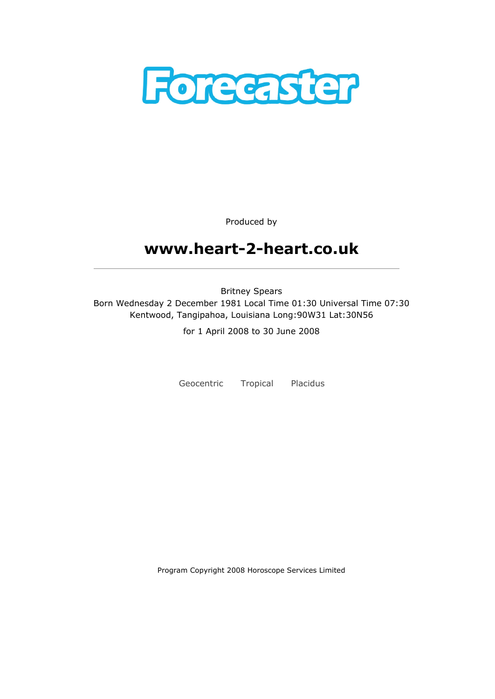

Produced by

# www.heart-2-heart.co.uk

Britney Spears Born Wednesday 2 December 1981 Local Time 01:30 Universal Time 07:30 Kentwood, Tangipahoa, Louisiana Long:90W31 Lat:30N56

for 1 April 2008 to 30 June 2008

Geocentric Tropical Placidus

Program Copyright 2008 Horoscope Services Limited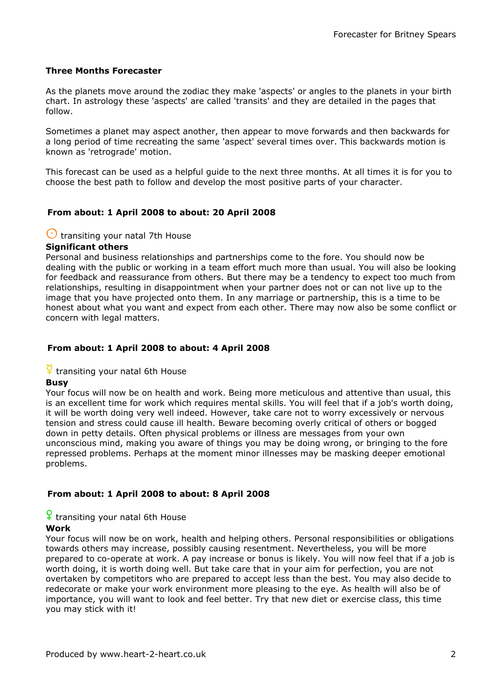### Three Months Forecaster

As the planets move around the zodiac they make 'aspects' or angles to the planets in your birth chart. In astrology these 'aspects' are called 'transits' and they are detailed in the pages that follow.

Sometimes a planet may aspect another, then appear to move forwards and then backwards for a long period of time recreating the same 'aspect' several times over. This backwards motion is known as 'retrograde' motion.

This forecast can be used as a helpful guide to the next three months. At all times it is for you to choose the best path to follow and develop the most positive parts of your character.

### From about: 1 April 2008 to about: 20 April 2008

### $\bigcirc$  transiting your natal 7th House

#### Significant others

Personal and business relationships and partnerships come to the fore. You should now be dealing with the public or working in a team effort much more than usual. You will also be looking for feedback and reassurance from others. But there may be a tendency to expect too much from relationships, resulting in disappointment when your partner does not or can not live up to the image that you have projected onto them. In any marriage or partnership, this is a time to be honest about what you want and expect from each other. There may now also be some conflict or concern with legal matters.

### From about: 1 April 2008 to about: 4 April 2008

### $\frac{Q}{I}$  transiting your natal 6th House

#### Busy

Your focus will now be on health and work. Being more meticulous and attentive than usual, this is an excellent time for work which requires mental skills. You will feel that if a job's worth doing, it will be worth doing very well indeed. However, take care not to worry excessively or nervous tension and stress could cause ill health. Beware becoming overly critical of others or bogged down in petty details. Often physical problems or illness are messages from your own unconscious mind, making you aware of things you may be doing wrong, or bringing to the fore repressed problems. Perhaps at the moment minor illnesses may be masking deeper emotional problems.

#### From about: 1 April 2008 to about: 8 April 2008

### $\frac{6}{1}$  transiting your natal 6th House

#### Work

Your focus will now be on work, health and helping others. Personal responsibilities or obligations towards others may increase, possibly causing resentment. Nevertheless, you will be more prepared to co-operate at work. A pay increase or bonus is likely. You will now feel that if a job is worth doing, it is worth doing well. But take care that in your aim for perfection, you are not overtaken by competitors who are prepared to accept less than the best. You may also decide to redecorate or make your work environment more pleasing to the eye. As health will also be of importance, you will want to look and feel better. Try that new diet or exercise class, this time you may stick with it!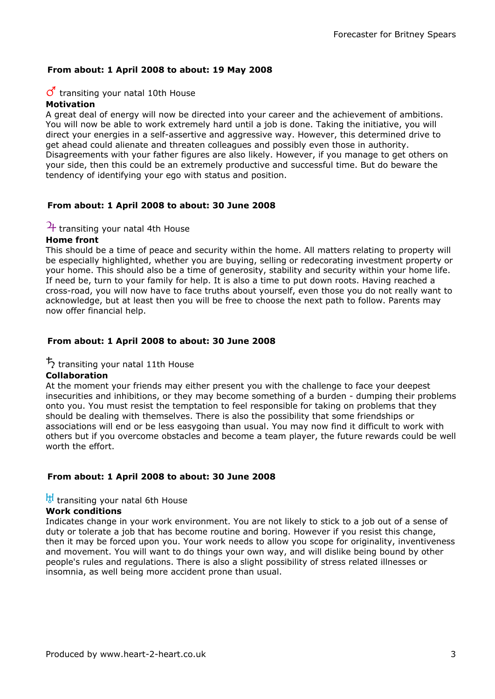### From about: 1 April 2008 to about: 19 May 2008

#### $\sigma$  transiting your natal 10th House Motivation

A great deal of energy will now be directed into your career and the achievement of ambitions. You will now be able to work extremely hard until a job is done. Taking the initiative, you will direct your energies in a self-assertive and aggressive way. However, this determined drive to get ahead could alienate and threaten colleagues and possibly even those in authority. Disagreements with your father figures are also likely. However, if you manage to get others on your side, then this could be an extremely productive and successful time. But do beware the tendency of identifying your ego with status and position.

### From about: 1 April 2008 to about: 30 June 2008

### $4$  transiting your natal 4th House

### Home front

This should be a time of peace and security within the home. All matters relating to property will be especially highlighted, whether you are buying, selling or redecorating investment property or your home. This should also be a time of generosity, stability and security within your home life. If need be, turn to your family for help. It is also a time to put down roots. Having reached a cross-road, you will now have to face truths about yourself, even those you do not really want to acknowledge, but at least then you will be free to choose the next path to follow. Parents may now offer financial help.

### From about: 1 April 2008 to about: 30 June 2008

### $\frac{1}{2}$  transiting your natal 11th House

#### Collaboration

At the moment your friends may either present you with the challenge to face your deepest insecurities and inhibitions, or they may become something of a burden - dumping their problems onto you. You must resist the temptation to feel responsible for taking on problems that they should be dealing with themselves. There is also the possibility that some friendships or associations will end or be less easygoing than usual. You may now find it difficult to work with others but if you overcome obstacles and become a team player, the future rewards could be well worth the effort.

#### From about: 1 April 2008 to about: 30 June 2008

### $\frac{11}{6}$  transiting your natal 6th House

#### Work conditions

Indicates change in your work environment. You are not likely to stick to a job out of a sense of duty or tolerate a job that has become routine and boring. However if you resist this change, then it may be forced upon you. Your work needs to allow you scope for originality, inventiveness and movement. You will want to do things your own way, and will dislike being bound by other people's rules and regulations. There is also a slight possibility of stress related illnesses or insomnia, as well being more accident prone than usual.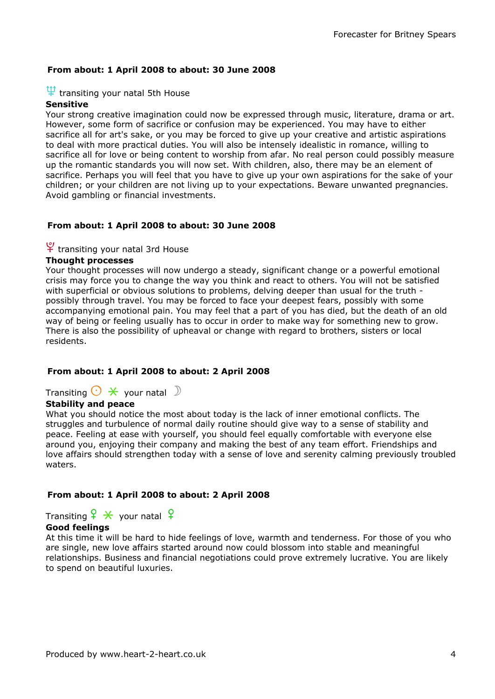### From about: 1 April 2008 to about: 30 June 2008

### $\Psi$  transiting your natal 5th House

### Sensitive

Your strong creative imagination could now be expressed through music, literature, drama or art. However, some form of sacrifice or confusion may be experienced. You may have to either sacrifice all for art's sake, or you may be forced to give up your creative and artistic aspirations to deal with more practical duties. You will also be intensely idealistic in romance, willing to sacrifice all for love or being content to worship from afar. No real person could possibly measure up the romantic standards you will now set. With children, also, there may be an element of sacrifice. Perhaps you will feel that you have to give up your own aspirations for the sake of your children; or your children are not living up to your expectations. Beware unwanted pregnancies. Avoid gambling or financial investments.

#### From about: 1 April 2008 to about: 30 June 2008

### $\frac{9}{1}$  transiting your natal 3rd House

### Thought processes

Your thought processes will now undergo a steady, significant change or a powerful emotional crisis may force you to change the way you think and react to others. You will not be satisfied with superficial or obvious solutions to problems, delving deeper than usual for the truth possibly through travel. You may be forced to face your deepest fears, possibly with some accompanying emotional pain. You may feel that a part of you has died, but the death of an old way of being or feeling usually has to occur in order to make way for something new to grow. There is also the possibility of upheaval or change with regard to brothers, sisters or local residents.

#### From about: 1 April 2008 to about: 2 April 2008

### Transiting  $\bigcirc$   $*$  your natal  $\bigcirc$

### Stability and peace

What you should notice the most about today is the lack of inner emotional conflicts. The struggles and turbulence of normal daily routine should give way to a sense of stability and peace. Feeling at ease with yourself, you should feel equally comfortable with everyone else around you, enjoying their company and making the best of any team effort. Friendships and love affairs should strengthen today with a sense of love and serenity calming previously troubled waters.

#### From about: 1 April 2008 to about: 2 April 2008

Transiting  $\frac{6}{5}$   $\frac{4}{5}$  your natal  $\frac{6}{5}$ 

### Good feelings

At this time it will be hard to hide feelings of love, warmth and tenderness. For those of you who are single, new love affairs started around now could blossom into stable and meaningful relationships. Business and financial negotiations could prove extremely lucrative. You are likely to spend on beautiful luxuries.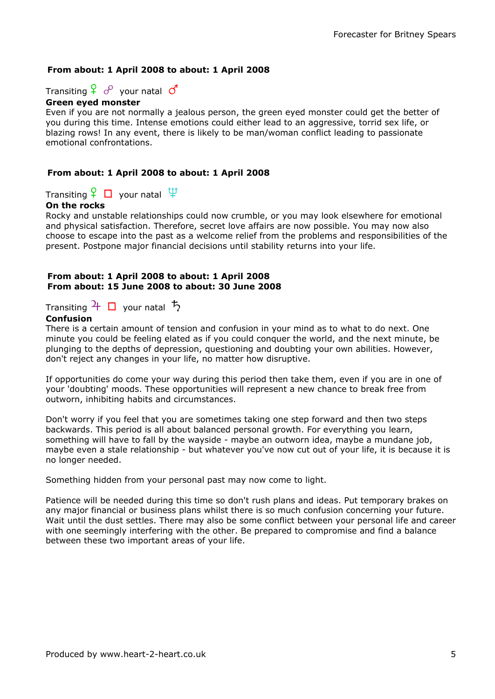### From about: 1 April 2008 to about: 1 April 2008

Transiting  $\frac{1}{2}$   $\sigma^2$  your natal  $\sigma^4$ 

### Green eyed monster

Even if you are not normally a jealous person, the green eyed monster could get the better of you during this time. Intense emotions could either lead to an aggressive, torrid sex life, or blazing rows! In any event, there is likely to be man/woman conflict leading to passionate emotional confrontations.

### From about: 1 April 2008 to about: 1 April 2008

Transiting  $\mathcal{F} \Box$  your natal  $\mathfrak{P}$ 

### On the rocks

Rocky and unstable relationships could now crumble, or you may look elsewhere for emotional and physical satisfaction. Therefore, secret love affairs are now possible. You may now also choose to escape into the past as a welcome relief from the problems and responsibilities of the present. Postpone major financial decisions until stability returns into your life.

#### From about: 1 April 2008 to about: 1 April 2008 From about: 15 June 2008 to about: 30 June 2008

Transiting  $\frac{1}{\sqrt{2}}$  your natal  $\frac{1}{2}$ 

### **Confusion**

There is a certain amount of tension and confusion in your mind as to what to do next. One minute you could be feeling elated as if you could conquer the world, and the next minute, be plunging to the depths of depression, questioning and doubting your own abilities. However, don't reject any changes in your life, no matter how disruptive.

If opportunities do come your way during this period then take them, even if you are in one of your 'doubting' moods. These opportunities will represent a new chance to break free from outworn, inhibiting habits and circumstances.

Don't worry if you feel that you are sometimes taking one step forward and then two steps backwards. This period is all about balanced personal growth. For everything you learn, something will have to fall by the wayside - maybe an outworn idea, maybe a mundane job, maybe even a stale relationship - but whatever you've now cut out of your life, it is because it is no longer needed.

Something hidden from your personal past may now come to light.

Patience will be needed during this time so don't rush plans and ideas. Put temporary brakes on any major financial or business plans whilst there is so much confusion concerning your future. Wait until the dust settles. There may also be some conflict between your personal life and career with one seemingly interfering with the other. Be prepared to compromise and find a balance between these two important areas of your life.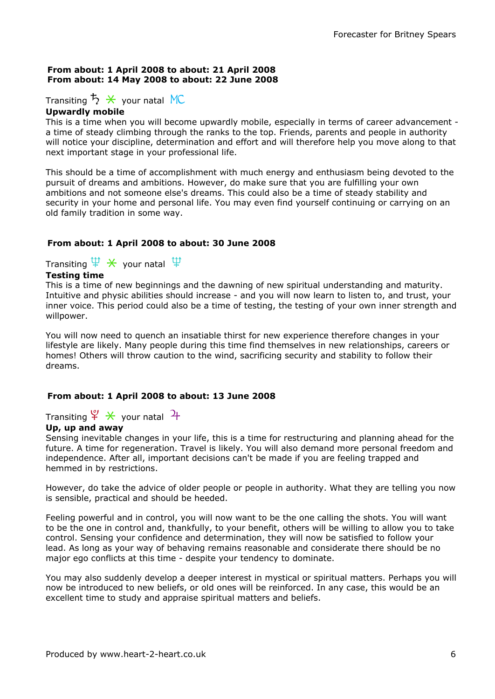### From about: 1 April 2008 to about: 21 April 2008 From about: 14 May 2008 to about: 22 June 2008

### Transiting  $\overline{5}$   $\overline{\mathcal{X}}$  your natal MC

### Upwardly mobile

This is a time when you will become upwardly mobile, especially in terms of career advancement a time of steady climbing through the ranks to the top. Friends, parents and people in authority will notice your discipline, determination and effort and will therefore help you move along to that next important stage in your professional life.

This should be a time of accomplishment with much energy and enthusiasm being devoted to the pursuit of dreams and ambitions. However, do make sure that you are fulfilling your own ambitions and not someone else's dreams. This could also be a time of steady stability and security in your home and personal life. You may even find yourself continuing or carrying on an old family tradition in some way.

### From about: 1 April 2008 to about: 30 June 2008

Transiting  $\Psi \times$  your natal  $\Psi$ 

### Testing time

This is a time of new beginnings and the dawning of new spiritual understanding and maturity. Intuitive and physic abilities should increase - and you will now learn to listen to, and trust, your inner voice. This period could also be a time of testing, the testing of your own inner strength and willpower.

You will now need to quench an insatiable thirst for new experience therefore changes in your lifestyle are likely. Many people during this time find themselves in new relationships, careers or homes! Others will throw caution to the wind, sacrificing security and stability to follow their dreams.

### From about: 1 April 2008 to about: 13 June 2008

Transiting  $\frac{\varphi}{\mathcal{H}} \times$  your natal  $\frac{\gamma}{\mathcal{H}}$ 

### Up, up and away

Sensing inevitable changes in your life, this is a time for restructuring and planning ahead for the future. A time for regeneration. Travel is likely. You will also demand more personal freedom and independence. After all, important decisions can't be made if you are feeling trapped and hemmed in by restrictions.

However, do take the advice of older people or people in authority. What they are telling you now is sensible, practical and should be heeded.

Feeling powerful and in control, you will now want to be the one calling the shots. You will want to be the one in control and, thankfully, to your benefit, others will be willing to allow you to take control. Sensing your confidence and determination, they will now be satisfied to follow your lead. As long as your way of behaving remains reasonable and considerate there should be no major ego conflicts at this time - despite your tendency to dominate.

You may also suddenly develop a deeper interest in mystical or spiritual matters. Perhaps you will now be introduced to new beliefs, or old ones will be reinforced. In any case, this would be an excellent time to study and appraise spiritual matters and beliefs.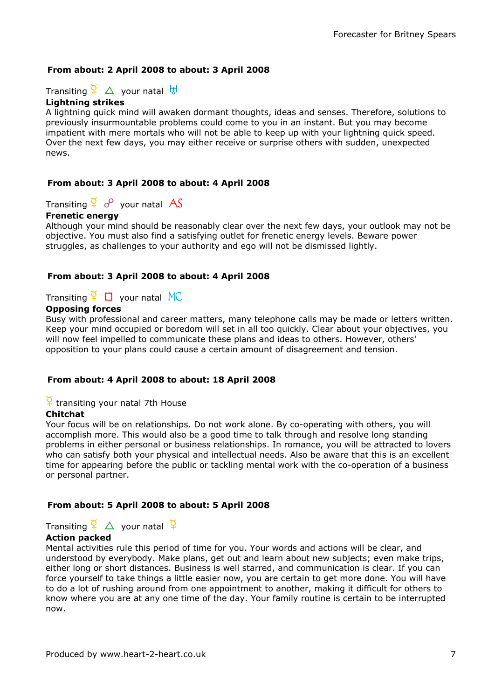### From about: 2 April 2008 to about: 3 April 2008

Transiting  $\frac{Q}{I}$   $\Delta$  your natal  $\frac{H}{I}$ 

### Lightning strikes

A lightning quick mind will awaken dormant thoughts, ideas and senses. Therefore, solutions to previously insurmountable problems could come to you in an instant. But you may become impatient with mere mortals who will not be able to keep up with your lightning quick speed. Over the next few days, you may either receive or surprise others with sudden, unexpected news.

### From about: 3 April 2008 to about: 4 April 2008

### Transiting  $\frac{Q}{I}$   $\sigma^2$  your natal AS

#### Frenetic energy

Although your mind should be reasonably clear over the next few days, your outlook may not be objective. You must also find a satisfying outlet for frenetic energy levels. Beware power struggles, as challenges to your authority and ego will not be dismissed lightly.

### From about: 3 April 2008 to about: 4 April 2008

### Transiting  $\sqrt{\frac{1}{2}}$  D your natal MC

### Opposing forces

Busy with professional and career matters, many telephone calls may be made or letters written. Keep your mind occupied or boredom will set in all too quickly. Clear about your objectives, you will now feel impelled to communicate these plans and ideas to others. However, others' opposition to your plans could cause a certain amount of disagreement and tension.

#### From about: 4 April 2008 to about: 18 April 2008

### $\frac{Q}{I}$  transiting your natal 7th House

#### Chitchat

Your focus will be on relationships. Do not work alone. By co-operating with others, you will accomplish more. This would also be a good time to talk through and resolve long standing problems in either personal or business relationships. In romance, you will be attracted to lovers who can satisfy both your physical and intellectual needs. Also be aware that this is an excellent time for appearing before the public or tackling mental work with the co-operation of a business or personal partner.

#### From about: 5 April 2008 to about: 5 April 2008

Transiting  $\frac{a}{b}$   $\Delta$  your natal  $\frac{a}{b}$ 

#### Action packed

Mental activities rule this period of time for you. Your words and actions will be clear, and understood by everybody. Make plans, get out and learn about new subjects; even make trips, either long or short distances. Business is well starred, and communication is clear. If you can force yourself to take things a little easier now, you are certain to get more done. You will have to do a lot of rushing around from one appointment to another, making it difficult for others to know where you are at any one time of the day. Your family routine is certain to be interrupted now.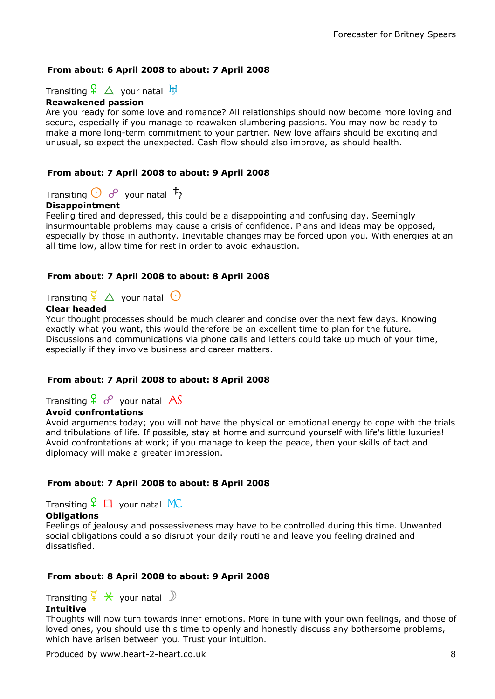### From about: 6 April 2008 to about: 7 April 2008

Transiting  $\frac{6}{5}$   $\Delta$  your natal  $\frac{11}{5}$ 

### Reawakened passion

Are you ready for some love and romance? All relationships should now become more loving and secure, especially if you manage to reawaken slumbering passions. You may now be ready to make a more long-term commitment to your partner. New love affairs should be exciting and unusual, so expect the unexpected. Cash flow should also improve, as should health.

### From about: 7 April 2008 to about: 9 April 2008

Transiting  $\bigodot$   $\sigma^2$  your natal  $\bar{\mathcal{L}}$ 

### Disappointment

Feeling tired and depressed, this could be a disappointing and confusing day. Seemingly insurmountable problems may cause a crisis of confidence. Plans and ideas may be opposed, especially by those in authority. Inevitable changes may be forced upon you. With energies at an all time low, allow time for rest in order to avoid exhaustion.

### From about: 7 April 2008 to about: 8 April 2008

### Transiting  $\frac{Q}{4}$   $\Delta$  your natal  $\odot$

### Clear headed

Your thought processes should be much clearer and concise over the next few days. Knowing exactly what you want, this would therefore be an excellent time to plan for the future. Discussions and communications via phone calls and letters could take up much of your time, especially if they involve business and career matters.

### From about: 7 April 2008 to about: 8 April 2008

Transiting  $\frac{Q}{I}$  o<sup>o</sup> your natal AS

### Avoid confrontations

Avoid arguments today; you will not have the physical or emotional energy to cope with the trials and tribulations of life. If possible, stay at home and surround yourself with life's little luxuries! Avoid confrontations at work; if you manage to keep the peace, then your skills of tact and diplomacy will make a greater impression.

### From about: 7 April 2008 to about: 8 April 2008

Transiting  $\frac{6}{5}$   $\Box$  your natal MC

### **Obligations**

Feelings of jealousy and possessiveness may have to be controlled during this time. Unwanted social obligations could also disrupt your daily routine and leave you feeling drained and dissatisfied.

### From about: 8 April 2008 to about: 9 April 2008

Transiting  $\frac{a}{2} \times \frac{c}{2}$  your natal  $\mathbb{D}$ 

#### **Intuitive**

Thoughts will now turn towards inner emotions. More in tune with your own feelings, and those of loved ones, you should use this time to openly and honestly discuss any bothersome problems, which have arisen between you. Trust your intuition.

Produced by www.heart-2-heart.co.uk 8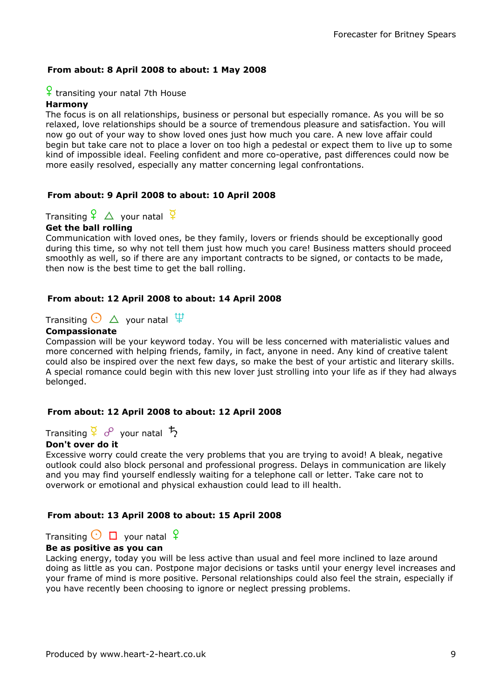### From about: 8 April 2008 to about: 1 May 2008

#### $\frac{1}{1}$  transiting your natal 7th House

### Harmony

The focus is on all relationships, business or personal but especially romance. As you will be so relaxed, love relationships should be a source of tremendous pleasure and satisfaction. You will now go out of your way to show loved ones just how much you care. A new love affair could begin but take care not to place a lover on too high a pedestal or expect them to live up to some kind of impossible ideal. Feeling confident and more co-operative, past differences could now be more easily resolved, especially any matter concerning legal confrontations.

#### From about: 9 April 2008 to about: 10 April 2008

## Transiting  $\frac{Q}{4}$   $\Delta$  your natal  $\frac{Q}{4}$

#### Get the ball rolling

Communication with loved ones, be they family, lovers or friends should be exceptionally good during this time, so why not tell them just how much you care! Business matters should proceed smoothly as well, so if there are any important contracts to be signed, or contacts to be made, then now is the best time to get the ball rolling.

#### From about: 12 April 2008 to about: 14 April 2008

Transiting  $\bigodot \bigtriangleup$  your natal  $\mathfrak{P}$ 

#### Compassionate

Compassion will be your keyword today. You will be less concerned with materialistic values and more concerned with helping friends, family, in fact, anyone in need. Any kind of creative talent could also be inspired over the next few days, so make the best of your artistic and literary skills. A special romance could begin with this new lover just strolling into your life as if they had always belonged.

#### From about: 12 April 2008 to about: 12 April 2008

Transiting  $\frac{a}{2}$   $\sigma$  your natal  $\frac{b}{2}$ 

#### Don't over do it

Excessive worry could create the very problems that you are trying to avoid! A bleak, negative outlook could also block personal and professional progress. Delays in communication are likely and you may find yourself endlessly waiting for a telephone call or letter. Take care not to overwork or emotional and physical exhaustion could lead to ill health.

#### From about: 13 April 2008 to about: 15 April 2008

### Transiting  $\bigcirc$   $\Box$  your natal  $\varphi$

### Be as positive as you can

Lacking energy, today you will be less active than usual and feel more inclined to laze around doing as little as you can. Postpone major decisions or tasks until your energy level increases and your frame of mind is more positive. Personal relationships could also feel the strain, especially if you have recently been choosing to ignore or neglect pressing problems.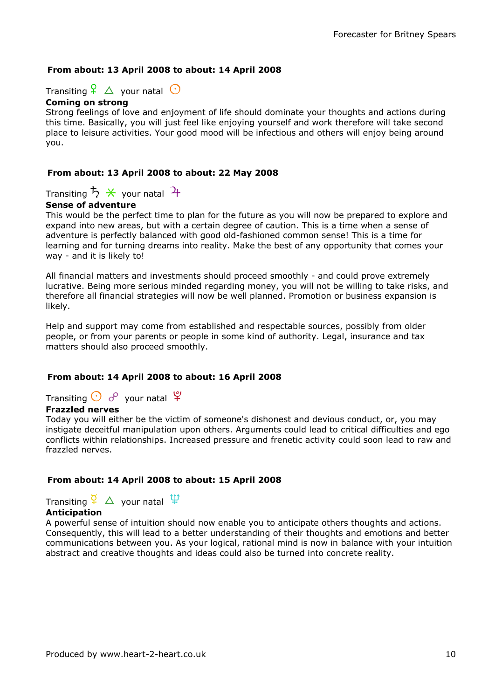### From about: 13 April 2008 to about: 14 April 2008

Transiting  $\frac{6}{5}$   $\Delta$  your natal  $\odot$ 

### Coming on strong

Strong feelings of love and enjoyment of life should dominate your thoughts and actions during this time. Basically, you will just feel like enjoying yourself and work therefore will take second place to leisure activities. Your good mood will be infectious and others will enjoy being around you.

### From about: 13 April 2008 to about: 22 May 2008

Transiting  $5 \times$  your natal  $\frac{1}{1}$ 

### Sense of adventure

This would be the perfect time to plan for the future as you will now be prepared to explore and expand into new areas, but with a certain degree of caution. This is a time when a sense of adventure is perfectly balanced with good old-fashioned common sense! This is a time for learning and for turning dreams into reality. Make the best of any opportunity that comes your way - and it is likely to!

All financial matters and investments should proceed smoothly - and could prove extremely lucrative. Being more serious minded regarding money, you will not be willing to take risks, and therefore all financial strategies will now be well planned. Promotion or business expansion is likely.

Help and support may come from established and respectable sources, possibly from older people, or from your parents or people in some kind of authority. Legal, insurance and tax matters should also proceed smoothly.

### From about: 14 April 2008 to about: 16 April 2008

Transiting  $\bigodot$   $\phi$  your natal  $\mathfrak{P}$ 

### Frazzled nerves

Today you will either be the victim of someone's dishonest and devious conduct, or, you may instigate deceitful manipulation upon others. Arguments could lead to critical difficulties and ego conflicts within relationships. Increased pressure and frenetic activity could soon lead to raw and frazzled nerves.

### From about: 14 April 2008 to about: 15 April 2008

Transiting  $\frac{1}{2}$   $\Delta$  your natal  $\frac{11}{4}$ 

### **Anticipation**

A powerful sense of intuition should now enable you to anticipate others thoughts and actions. Consequently, this will lead to a better understanding of their thoughts and emotions and better communications between you. As your logical, rational mind is now in balance with your intuition abstract and creative thoughts and ideas could also be turned into concrete reality.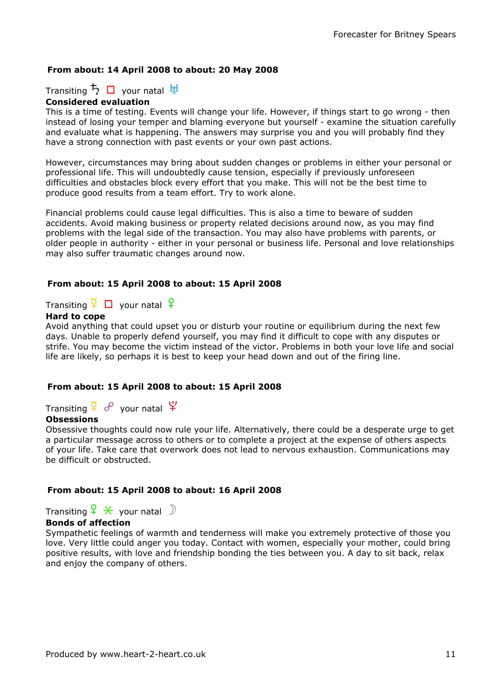### From about: 14 April 2008 to about: 20 May 2008

Transiting  $\frac{1}{2}$   $\Box$  your natal  $\frac{11}{2}$ 

### Considered evaluation

This is a time of testing. Events will change your life. However, if things start to go wrong - then instead of losing your temper and blaming everyone but yourself - examine the situation carefully and evaluate what is happening. The answers may surprise you and you will probably find they have a strong connection with past events or your own past actions.

However, circumstances may bring about sudden changes or problems in either your personal or professional life. This will undoubtedly cause tension, especially if previously unforeseen difficulties and obstacles block every effort that you make. This will not be the best time to produce good results from a team effort. Try to work alone.

Financial problems could cause legal difficulties. This is also a time to beware of sudden accidents. Avoid making business or property related decisions around now, as you may find problems with the legal side of the transaction. You may also have problems with parents, or older people in authority - either in your personal or business life. Personal and love relationships may also suffer traumatic changes around now.

### From about: 15 April 2008 to about: 15 April 2008

Transiting  $\frac{Q}{I}$   $\Box$  your natal  $\frac{Q}{I}$ 

#### Hard to cope

Avoid anything that could upset you or disturb your routine or equilibrium during the next few days. Unable to properly defend yourself, you may find it difficult to cope with any disputes or strife. You may become the victim instead of the victor. Problems in both your love life and social life are likely, so perhaps it is best to keep your head down and out of the firing line.

### From about: 15 April 2008 to about: 15 April 2008

Transiting  $\frac{1}{2}$   $\sigma^2$  your natal  $\frac{10}{12}$ 

### **Obsessions**

Obsessive thoughts could now rule your life. Alternatively, there could be a desperate urge to get a particular message across to others or to complete a project at the expense of others aspects of your life. Take care that overwork does not lead to nervous exhaustion. Communications may be difficult or obstructed.

### From about: 15 April 2008 to about: 16 April 2008

Transiting  $\frac{6}{5}$   $\star$  your natal  $\mathbb D$ 

### Bonds of affection

Sympathetic feelings of warmth and tenderness will make you extremely protective of those you love. Very little could anger you today. Contact with women, especially your mother, could bring positive results, with love and friendship bonding the ties between you. A day to sit back, relax and enjoy the company of others.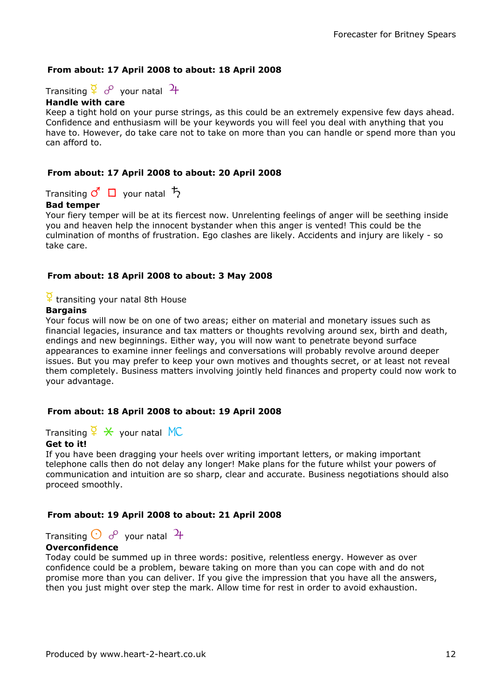### From about: 17 April 2008 to about: 18 April 2008

Transiting  $\frac{8}{5}$  o<sup>o</sup> vour natal  $\frac{4}{5}$ 

### Handle with care

Keep a tight hold on your purse strings, as this could be an extremely expensive few days ahead. Confidence and enthusiasm will be your keywords you will feel you deal with anything that you have to. However, do take care not to take on more than you can handle or spend more than you can afford to.

#### From about: 17 April 2008 to about: 20 April 2008

Transiting  $\vec{c}$   $\Box$  your natal  $\vec{b}$ 

#### Bad temper

Your fiery temper will be at its fiercest now. Unrelenting feelings of anger will be seething inside you and heaven help the innocent bystander when this anger is vented! This could be the culmination of months of frustration. Ego clashes are likely. Accidents and injury are likely - so take care.

#### From about: 18 April 2008 to about: 3 May 2008

### $\frac{1}{3}$  transiting your natal 8th House

#### **Bargains**

Your focus will now be on one of two areas; either on material and monetary issues such as financial legacies, insurance and tax matters or thoughts revolving around sex, birth and death, endings and new beginnings. Either way, you will now want to penetrate beyond surface appearances to examine inner feelings and conversations will probably revolve around deeper issues. But you may prefer to keep your own motives and thoughts secret, or at least not reveal them completely. Business matters involving jointly held finances and property could now work to your advantage.

#### From about: 18 April 2008 to about: 19 April 2008

Transiting  $\frac{a}{b} \times \frac{c}{c}$  your natal MC

#### Get to it!

If you have been dragging your heels over writing important letters, or making important telephone calls then do not delay any longer! Make plans for the future whilst your powers of communication and intuition are so sharp, clear and accurate. Business negotiations should also proceed smoothly.

#### From about: 19 April 2008 to about: 21 April 2008

Transiting  $\bigcirc$   $\delta$  your natal  $\mathcal{H}$ 

#### Overconfidence

Today could be summed up in three words: positive, relentless energy. However as over confidence could be a problem, beware taking on more than you can cope with and do not promise more than you can deliver. If you give the impression that you have all the answers, then you just might over step the mark. Allow time for rest in order to avoid exhaustion.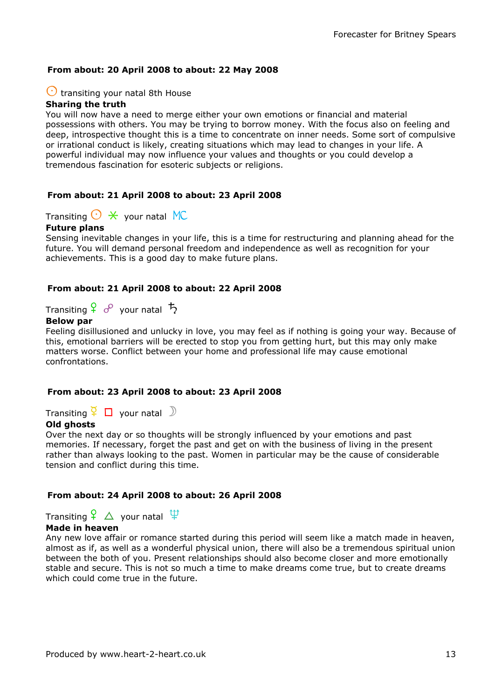### From about: 20 April 2008 to about: 22 May 2008

### $\bigcirc$  transiting your natal 8th House

### Sharing the truth

You will now have a need to merge either your own emotions or financial and material possessions with others. You may be trying to borrow money. With the focus also on feeling and deep, introspective thought this is a time to concentrate on inner needs. Some sort of compulsive or irrational conduct is likely, creating situations which may lead to changes in your life. A powerful individual may now influence your values and thoughts or you could develop a tremendous fascination for esoteric subjects or religions.

#### From about: 21 April 2008 to about: 23 April 2008

Transiting  $\bigcirc$   $*$  your natal MC

#### Future plans

Sensing inevitable changes in your life, this is a time for restructuring and planning ahead for the future. You will demand personal freedom and independence as well as recognition for your achievements. This is a good day to make future plans.

#### From about: 21 April 2008 to about: 22 April 2008

Transiting  $\frac{1}{2}$   $\sigma$  your natal  $\frac{1}{2}$ 

### Below par

Feeling disillusioned and unlucky in love, you may feel as if nothing is going your way. Because of this, emotional barriers will be erected to stop you from getting hurt, but this may only make matters worse. Conflict between your home and professional life may cause emotional confrontations.

#### From about: 23 April 2008 to about: 23 April 2008

Transiting  $\frac{Q}{I} \Box$  your natal  $\Box$ 

#### Old ahosts

Over the next day or so thoughts will be strongly influenced by your emotions and past memories. If necessary, forget the past and get on with the business of living in the present rather than always looking to the past. Women in particular may be the cause of considerable tension and conflict during this time.

#### From about: 24 April 2008 to about: 26 April 2008

Transiting  $\frac{6}{5}$   $\Delta$  your natal  $\frac{11}{5}$ 

#### Made in heaven

Any new love affair or romance started during this period will seem like a match made in heaven, almost as if, as well as a wonderful physical union, there will also be a tremendous spiritual union between the both of you. Present relationships should also become closer and more emotionally stable and secure. This is not so much a time to make dreams come true, but to create dreams which could come true in the future.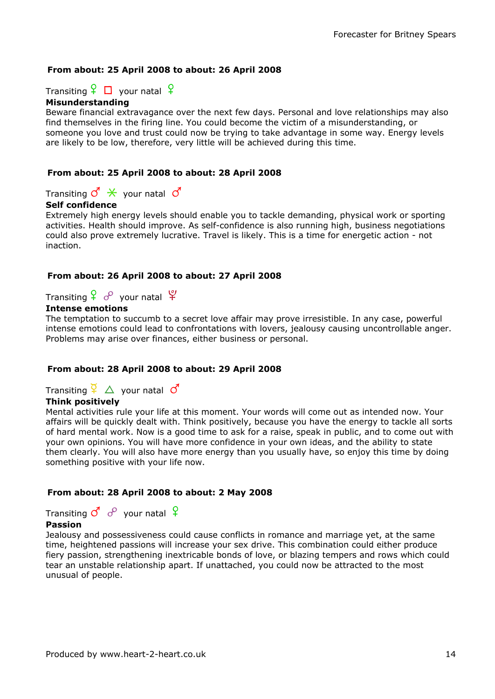### From about: 25 April 2008 to about: 26 April 2008

Transiting  $\frac{6}{5}$   $\Box$  your natal  $\frac{6}{5}$ 

#### Misunderstanding

Beware financial extravagance over the next few days. Personal and love relationships may also find themselves in the firing line. You could become the victim of a misunderstanding, or someone you love and trust could now be trying to take advantage in some way. Energy levels are likely to be low, therefore, very little will be achieved during this time.

### From about: 25 April 2008 to about: 28 April 2008

Transiting  $\vec{Q} \times \vec{Q}$  your natal  $\vec{Q}$ 

### Self confidence

Extremely high energy levels should enable you to tackle demanding, physical work or sporting activities. Health should improve. As self-confidence is also running high, business negotiations could also prove extremely lucrative. Travel is likely. This is a time for energetic action - not inaction.

### From about: 26 April 2008 to about: 27 April 2008

Transiting  $\frac{6}{5}$   $\frac{6}{5}$  your natal  $\frac{6}{5}$ 

### Intense emotions

The temptation to succumb to a secret love affair may prove irresistible. In any case, powerful intense emotions could lead to confrontations with lovers, jealousy causing uncontrollable anger. Problems may arise over finances, either business or personal.

### From about: 28 April 2008 to about: 29 April 2008

Transiting  $\frac{Q}{I}$   $\Delta$  your natal  $\sigma$ 

### Think positively

Mental activities rule your life at this moment. Your words will come out as intended now. Your affairs will be quickly dealt with. Think positively, because you have the energy to tackle all sorts of hard mental work. Now is a good time to ask for a raise, speak in public, and to come out with your own opinions. You will have more confidence in your own ideas, and the ability to state them clearly. You will also have more energy than you usually have, so enjoy this time by doing something positive with your life now.

### From about: 28 April 2008 to about: 2 May 2008

Transiting  $\sigma^4 \, \sigma^8$  your natal  $\frac{\sigma^4}{\sigma^4}$ 

#### Passion

Jealousy and possessiveness could cause conflicts in romance and marriage yet, at the same time, heightened passions will increase your sex drive. This combination could either produce fiery passion, strengthening inextricable bonds of love, or blazing tempers and rows which could tear an unstable relationship apart. If unattached, you could now be attracted to the most unusual of people.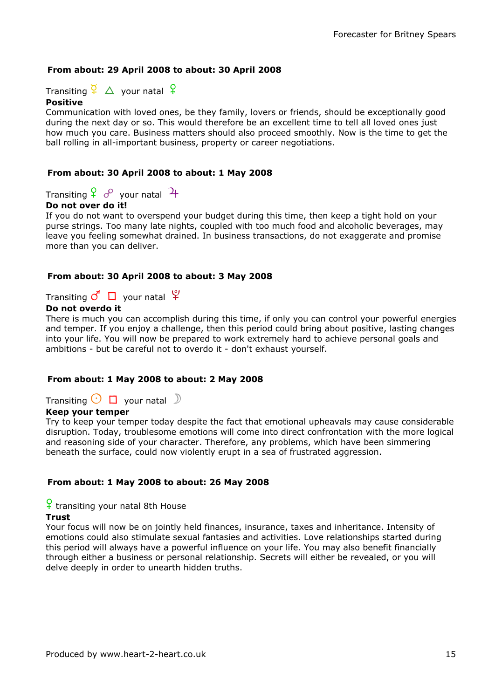### From about: 29 April 2008 to about: 30 April 2008

Transiting  $\frac{Q}{r}$   $\Delta$  your natal  $\frac{Q}{r}$ 

### Positive

Communication with loved ones, be they family, lovers or friends, should be exceptionally good during the next day or so. This would therefore be an excellent time to tell all loved ones just how much you care. Business matters should also proceed smoothly. Now is the time to get the ball rolling in all-important business, property or career negotiations.

### From about: 30 April 2008 to about: 1 May 2008

Transiting  $\frac{6}{5}$  o<sup>o</sup> vour natal  $\frac{4}{5}$ 

### Do not over do it!

If you do not want to overspend your budget during this time, then keep a tight hold on your purse strings. Too many late nights, coupled with too much food and alcoholic beverages, may leave you feeling somewhat drained. In business transactions, do not exaggerate and promise more than you can deliver.

### From about: 30 April 2008 to about: 3 May 2008

Transiting  $\mathcal{O} \square$  your natal  $\mathfrak{P}$ 

### Do not overdo it

There is much you can accomplish during this time, if only you can control your powerful energies and temper. If you enjoy a challenge, then this period could bring about positive, lasting changes into your life. You will now be prepared to work extremely hard to achieve personal goals and ambitions - but be careful not to overdo it - don't exhaust yourself.

### From about: 1 May 2008 to about: 2 May 2008

Transiting  $\bigcirc$   $\Box$  your natal  $\Box$ 

### Keep your temper

Try to keep your temper today despite the fact that emotional upheavals may cause considerable disruption. Today, troublesome emotions will come into direct confrontation with the more logical and reasoning side of your character. Therefore, any problems, which have been simmering beneath the surface, could now violently erupt in a sea of frustrated aggression.

### From about: 1 May 2008 to about: 26 May 2008

### $\frac{6}{1}$  transiting your natal 8th House

#### Trust

Your focus will now be on jointly held finances, insurance, taxes and inheritance. Intensity of emotions could also stimulate sexual fantasies and activities. Love relationships started during this period will always have a powerful influence on your life. You may also benefit financially through either a business or personal relationship. Secrets will either be revealed, or you will delve deeply in order to unearth hidden truths.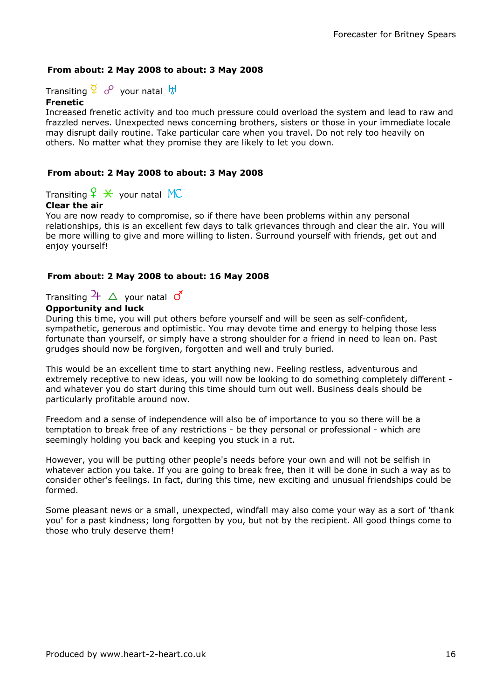### From about: 2 May 2008 to about: 3 May 2008

Transiting  $\frac{Q}{A}$  of your natal  $\frac{H}{A}$ 

#### Frenetic

Increased frenetic activity and too much pressure could overload the system and lead to raw and frazzled nerves. Unexpected news concerning brothers, sisters or those in your immediate locale may disrupt daily routine. Take particular care when you travel. Do not rely too heavily on others. No matter what they promise they are likely to let you down.

#### From about: 2 May 2008 to about: 3 May 2008

Transiting  $f \star$  your natal MC

### Clear the air

You are now ready to compromise, so if there have been problems within any personal relationships, this is an excellent few days to talk grievances through and clear the air. You will be more willing to give and more willing to listen. Surround yourself with friends, get out and enjoy yourself!

#### From about: 2 May 2008 to about: 16 May 2008

### Transiting  $\frac{1}{4}$   $\Delta$  your natal  $\sigma$

#### Opportunity and luck

During this time, you will put others before yourself and will be seen as self-confident, sympathetic, generous and optimistic. You may devote time and energy to helping those less fortunate than yourself, or simply have a strong shoulder for a friend in need to lean on. Past grudges should now be forgiven, forgotten and well and truly buried.

This would be an excellent time to start anything new. Feeling restless, adventurous and extremely receptive to new ideas, you will now be looking to do something completely different and whatever you do start during this time should turn out well. Business deals should be particularly profitable around now.

Freedom and a sense of independence will also be of importance to you so there will be a temptation to break free of any restrictions - be they personal or professional - which are seemingly holding you back and keeping you stuck in a rut.

However, you will be putting other people's needs before your own and will not be selfish in whatever action you take. If you are going to break free, then it will be done in such a way as to consider other's feelings. In fact, during this time, new exciting and unusual friendships could be formed.

Some pleasant news or a small, unexpected, windfall may also come your way as a sort of 'thank you' for a past kindness; long forgotten by you, but not by the recipient. All good things come to those who truly deserve them!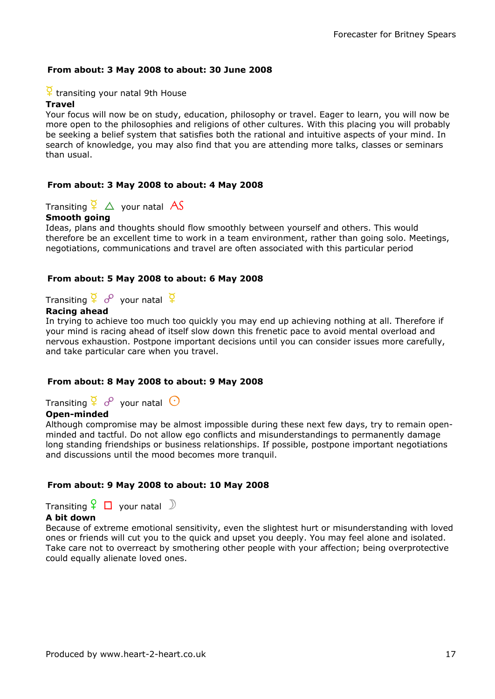### From about: 3 May 2008 to about: 30 June 2008

### $\frac{Q}{I}$  transiting your natal 9th House

#### **Travel**

Your focus will now be on study, education, philosophy or travel. Eager to learn, you will now be more open to the philosophies and religions of other cultures. With this placing you will probably be seeking a belief system that satisfies both the rational and intuitive aspects of your mind. In search of knowledge, you may also find that you are attending more talks, classes or seminars than usual.

#### From about: 3 May 2008 to about: 4 May 2008

Transiting  $\overline{P} \triangle$  your natal AS

#### Smooth going

Ideas, plans and thoughts should flow smoothly between yourself and others. This would therefore be an excellent time to work in a team environment, rather than going solo. Meetings, negotiations, communications and travel are often associated with this particular period

### From about: 5 May 2008 to about: 6 May 2008

Transiting  $\frac{Q}{I}$  o<sup>o</sup> your natal  $\frac{Q}{I}$ 

### Racing ahead

In trying to achieve too much too quickly you may end up achieving nothing at all. Therefore if your mind is racing ahead of itself slow down this frenetic pace to avoid mental overload and nervous exhaustion. Postpone important decisions until you can consider issues more carefully, and take particular care when you travel.

#### From about: 8 May 2008 to about: 9 May 2008

Transiting  $\frac{Q}{I}$  o<sup>o</sup> vour natal  $\odot$ 

### Open-minded

Although compromise may be almost impossible during these next few days, try to remain openminded and tactful. Do not allow ego conflicts and misunderstandings to permanently damage long standing friendships or business relationships. If possible, postpone important negotiations and discussions until the mood becomes more tranquil.

### From about: 9 May 2008 to about: 10 May 2008

Transiting  $\frac{6}{5}$   $\Box$  your natal  $\Box$ 

#### A bit down

Because of extreme emotional sensitivity, even the slightest hurt or misunderstanding with loved ones or friends will cut you to the quick and upset you deeply. You may feel alone and isolated. Take care not to overreact by smothering other people with your affection; being overprotective could equally alienate loved ones.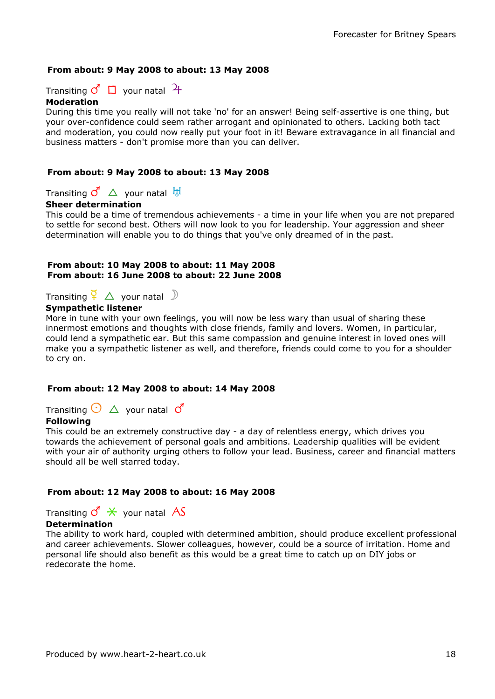### From about: 9 May 2008 to about: 13 May 2008

Transiting  $\mathcal{O} \Box$  your natal  $\mathcal{H}$ 

#### Moderation

During this time you really will not take 'no' for an answer! Being self-assertive is one thing, but your over-confidence could seem rather arrogant and opinionated to others. Lacking both tact and moderation, you could now really put your foot in it! Beware extravagance in all financial and business matters - don't promise more than you can deliver.

#### From about: 9 May 2008 to about: 13 May 2008

Transiting  $\overline{C}$   $\Delta$  your natal  $\overline{b}$ 

#### Sheer determination

This could be a time of tremendous achievements - a time in your life when you are not prepared to settle for second best. Others will now look to you for leadership. Your aggression and sheer determination will enable you to do things that you've only dreamed of in the past.

#### From about: 10 May 2008 to about: 11 May 2008 From about: 16 June 2008 to about: 22 June 2008

Transiting  $\frac{Q}{r}$   $\Delta$  your natal  $\Delta$ 

#### Sympathetic listener

More in tune with your own feelings, you will now be less wary than usual of sharing these innermost emotions and thoughts with close friends, family and lovers. Women, in particular, could lend a sympathetic ear. But this same compassion and genuine interest in loved ones will make you a sympathetic listener as well, and therefore, friends could come to you for a shoulder to cry on.

### From about: 12 May 2008 to about: 14 May 2008

Transiting  $\bigodot$   $\bigtriangleup$  your natal  $\bigodot^r$ 

### Following

This could be an extremely constructive day - a day of relentless energy, which drives you towards the achievement of personal goals and ambitions. Leadership qualities will be evident with your air of authority urging others to follow your lead. Business, career and financial matters should all be well starred today.

### From about: 12 May 2008 to about: 16 May 2008

Transiting  $\sigma^{\prime} \times$  your natal AS

#### Determination

The ability to work hard, coupled with determined ambition, should produce excellent professional and career achievements. Slower colleagues, however, could be a source of irritation. Home and personal life should also benefit as this would be a great time to catch up on DIY jobs or redecorate the home.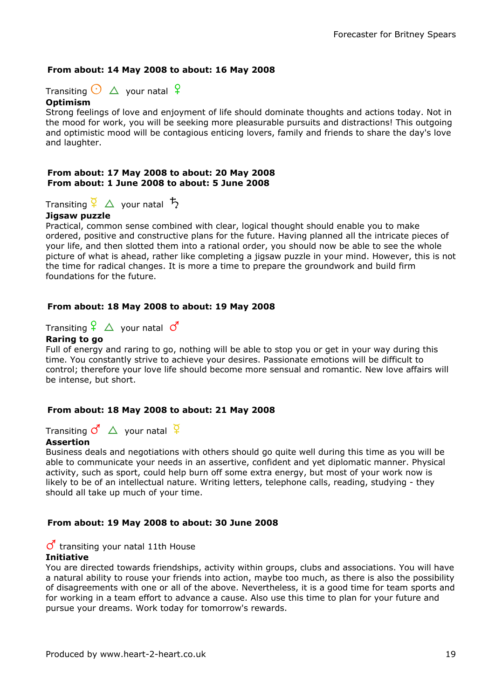### From about: 14 May 2008 to about: 16 May 2008

Transiting  $\bigodot$   $\Delta$  your natal  $\bigcirc$ 

### Optimism

Strong feelings of love and enjoyment of life should dominate thoughts and actions today. Not in the mood for work, you will be seeking more pleasurable pursuits and distractions! This outgoing and optimistic mood will be contagious enticing lovers, family and friends to share the day's love and laughter.

#### From about: 17 May 2008 to about: 20 May 2008 From about: 1 June 2008 to about: 5 June 2008

Transiting  $\frac{a}{2}$   $\Delta$  your natal  $\frac{b}{2}$ 

### Jigsaw puzzle

Practical, common sense combined with clear, logical thought should enable you to make ordered, positive and constructive plans for the future. Having planned all the intricate pieces of your life, and then slotted them into a rational order, you should now be able to see the whole picture of what is ahead, rather like completing a jigsaw puzzle in your mind. However, this is not the time for radical changes. It is more a time to prepare the groundwork and build firm foundations for the future.

### From about: 18 May 2008 to about: 19 May 2008

Transiting  $\frac{6}{5}$   $\Delta$  your natal  $\sigma$ 

### Raring to go

Full of energy and raring to go, nothing will be able to stop you or get in your way during this time. You constantly strive to achieve your desires. Passionate emotions will be difficult to control; therefore your love life should become more sensual and romantic. New love affairs will be intense, but short.

### From about: 18 May 2008 to about: 21 May 2008

Transiting  $\overline{C}^{\prime}$   $\Delta$  your natal  $\overline{G}$ 

### Assertion

Business deals and negotiations with others should go quite well during this time as you will be able to communicate your needs in an assertive, confident and yet diplomatic manner. Physical activity, such as sport, could help burn off some extra energy, but most of your work now is likely to be of an intellectual nature. Writing letters, telephone calls, reading, studying - they should all take up much of your time.

### From about: 19 May 2008 to about: 30 June 2008

### $\sigma$  transiting your natal 11th House

#### Initiative

You are directed towards friendships, activity within groups, clubs and associations. You will have a natural ability to rouse your friends into action, maybe too much, as there is also the possibility of disagreements with one or all of the above. Nevertheless, it is a good time for team sports and for working in a team effort to advance a cause. Also use this time to plan for your future and pursue your dreams. Work today for tomorrow's rewards.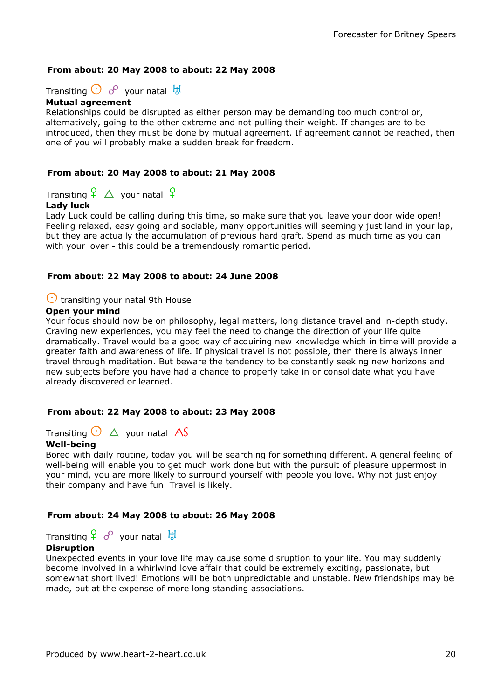### From about: 20 May 2008 to about: 22 May 2008

Transiting  $\bigodot$   $o^{\circ}$  your natal  $\overline{b}$ 

#### Mutual agreement

Relationships could be disrupted as either person may be demanding too much control or, alternatively, going to the other extreme and not pulling their weight. If changes are to be introduced, then they must be done by mutual agreement. If agreement cannot be reached, then one of you will probably make a sudden break for freedom.

### From about: 20 May 2008 to about: 21 May 2008

Transiting  $\frac{6}{5}$   $\Delta$  your natal  $\frac{6}{5}$ 

### Lady luck

Lady Luck could be calling during this time, so make sure that you leave your door wide open! Feeling relaxed, easy going and sociable, many opportunities will seemingly just land in your lap, but they are actually the accumulation of previous hard graft. Spend as much time as you can with your lover - this could be a tremendously romantic period.

#### From about: 22 May 2008 to about: 24 June 2008

### $\bigcirc$  transiting your natal 9th House

### Open your mind

Your focus should now be on philosophy, legal matters, long distance travel and in-depth study. Craving new experiences, you may feel the need to change the direction of your life quite dramatically. Travel would be a good way of acquiring new knowledge which in time will provide a greater faith and awareness of life. If physical travel is not possible, then there is always inner travel through meditation. But beware the tendency to be constantly seeking new horizons and new subjects before you have had a chance to properly take in or consolidate what you have already discovered or learned.

#### From about: 22 May 2008 to about: 23 May 2008

Transiting  $\bigodot \bigtriangleup$  your natal AS

#### Well-being

Bored with daily routine, today you will be searching for something different. A general feeling of well-being will enable you to get much work done but with the pursuit of pleasure uppermost in your mind, you are more likely to surround yourself with people you love. Why not just enjoy their company and have fun! Travel is likely.

#### From about: 24 May 2008 to about: 26 May 2008

Transiting  $\frac{6}{5}$   $\frac{6}{5}$  your natal  $\frac{11}{5}$ 

#### **Disruption**

Unexpected events in your love life may cause some disruption to your life. You may suddenly become involved in a whirlwind love affair that could be extremely exciting, passionate, but somewhat short lived! Emotions will be both unpredictable and unstable. New friendships may be made, but at the expense of more long standing associations.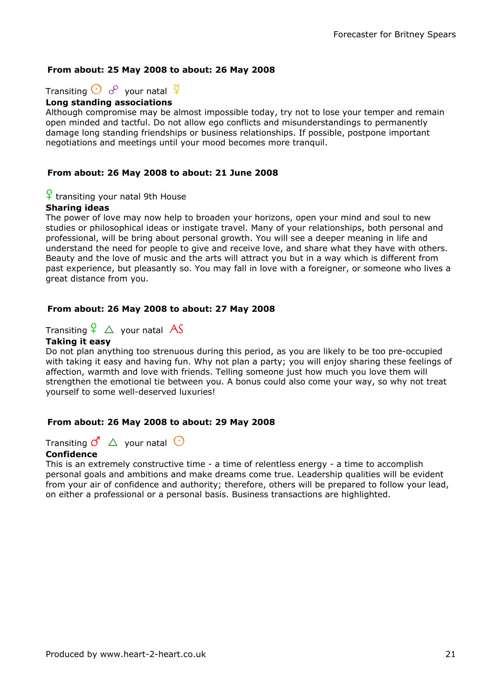### From about: 25 May 2008 to about: 26 May 2008

Transiting  $\bigodot$   $\sigma^2$  your natal  $\frac{Q}{4}$ 

### Long standing associations

Although compromise may be almost impossible today, try not to lose your temper and remain open minded and tactful. Do not allow ego conflicts and misunderstandings to permanently damage long standing friendships or business relationships. If possible, postpone important negotiations and meetings until your mood becomes more tranquil.

### From about: 26 May 2008 to about: 21 June 2008

# $\frac{Q}{I}$  transiting your natal 9th House

#### Sharing ideas

The power of love may now help to broaden your horizons, open your mind and soul to new studies or philosophical ideas or instigate travel. Many of your relationships, both personal and professional, will be bring about personal growth. You will see a deeper meaning in life and understand the need for people to give and receive love, and share what they have with others. Beauty and the love of music and the arts will attract you but in a way which is different from past experience, but pleasantly so. You may fall in love with a foreigner, or someone who lives a great distance from you.

#### From about: 26 May 2008 to about: 27 May 2008

### Transiting  $\frac{6}{5}$   $\triangle$  your natal AS

#### Taking it easy

Do not plan anything too strenuous during this period, as you are likely to be too pre-occupied with taking it easy and having fun. Why not plan a party; you will enjoy sharing these feelings of affection, warmth and love with friends. Telling someone just how much you love them will strengthen the emotional tie between you. A bonus could also come your way, so why not treat yourself to some well-deserved luxuries!

#### From about: 26 May 2008 to about: 29 May 2008

Transiting  $\vec{c}$   $\Delta$  your natal  $\Theta$ 

#### **Confidence**

This is an extremely constructive time - a time of relentless energy - a time to accomplish personal goals and ambitions and make dreams come true. Leadership qualities will be evident from your air of confidence and authority; therefore, others will be prepared to follow your lead, on either a professional or a personal basis. Business transactions are highlighted.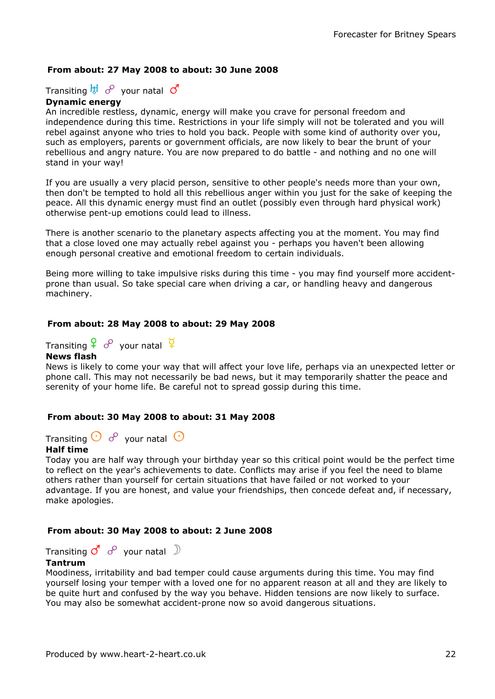### From about: 27 May 2008 to about: 30 June 2008

Transiting  $\overline{b}$   $\overline{d}$   $\sigma$  your natal  $\sigma$ 

#### Dynamic energy

An incredible restless, dynamic, energy will make you crave for personal freedom and independence during this time. Restrictions in your life simply will not be tolerated and you will rebel against anyone who tries to hold you back. People with some kind of authority over you, such as employers, parents or government officials, are now likely to bear the brunt of your rebellious and angry nature. You are now prepared to do battle - and nothing and no one will stand in your way!

If you are usually a very placid person, sensitive to other people's needs more than your own, then don't be tempted to hold all this rebellious anger within you just for the sake of keeping the peace. All this dynamic energy must find an outlet (possibly even through hard physical work) otherwise pent-up emotions could lead to illness.

There is another scenario to the planetary aspects affecting you at the moment. You may find that a close loved one may actually rebel against you - perhaps you haven't been allowing enough personal creative and emotional freedom to certain individuals.

Being more willing to take impulsive risks during this time - you may find yourself more accidentprone than usual. So take special care when driving a car, or handling heavy and dangerous machinery.

#### From about: 28 May 2008 to about: 29 May 2008

Transiting  $\frac{Q}{I}$  o<sup>o</sup> your natal  $\frac{Q}{I}$ 

#### News flash

News is likely to come your way that will affect your love life, perhaps via an unexpected letter or phone call. This may not necessarily be bad news, but it may temporarily shatter the peace and serenity of your home life. Be careful not to spread gossip during this time.

#### From about: 30 May 2008 to about: 31 May 2008

Transiting  $\bigodot$   $\phi$  vour natal  $\bigodot$ 

#### Half time

Today you are half way through your birthday year so this critical point would be the perfect time to reflect on the year's achievements to date. Conflicts may arise if you feel the need to blame others rather than yourself for certain situations that have failed or not worked to your advantage. If you are honest, and value your friendships, then concede defeat and, if necessary, make apologies.

#### From about: 30 May 2008 to about: 2 June 2008

Transiting  $\mathcal{J}'$   $\mathcal{S}'$  your natal  $\mathcal{D}'$ 

#### Tantrum

Moodiness, irritability and bad temper could cause arguments during this time. You may find yourself losing your temper with a loved one for no apparent reason at all and they are likely to be quite hurt and confused by the way you behave. Hidden tensions are now likely to surface. You may also be somewhat accident-prone now so avoid dangerous situations.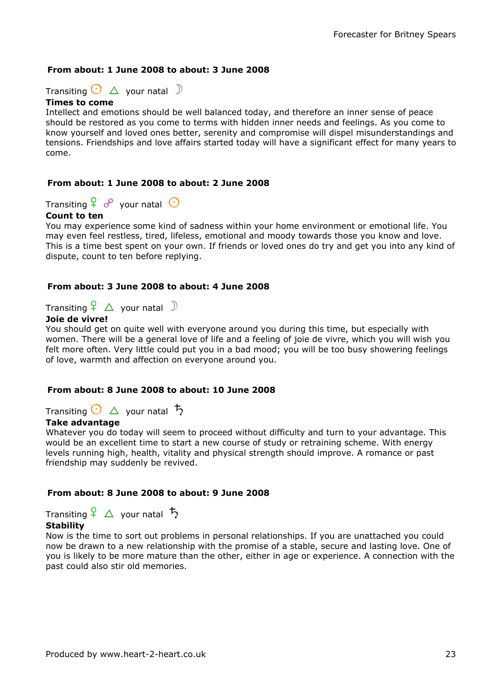### From about: 1 June 2008 to about: 3 June 2008

Transiting  $\bigodot$   $\Delta$  your natal  $\mathbb D$ 

#### Times to come

Intellect and emotions should be well balanced today, and therefore an inner sense of peace should be restored as you come to terms with hidden inner needs and feelings. As you come to know yourself and loved ones better, serenity and compromise will dispel misunderstandings and tensions. Friendships and love affairs started today will have a significant effect for many years to come.

### From about: 1 June 2008 to about: 2 June 2008

Transiting  $\frac{6}{5}$  o<sup>o</sup> your natal  $\odot$ 

### Count to ten

You may experience some kind of sadness within your home environment or emotional life. You may even feel restless, tired, lifeless, emotional and moody towards those you know and love. This is a time best spent on your own. If friends or loved ones do try and get you into any kind of dispute, count to ten before replying.

### From about: 3 June 2008 to about: 4 June 2008

Transiting  $\frac{6}{5}$   $\Delta$  your natal  $\Im$ 

### Joie de vivre!

You should get on quite well with everyone around you during this time, but especially with women. There will be a general love of life and a feeling of joie de vivre, which you will wish you felt more often. Very little could put you in a bad mood; you will be too busy showering feelings of love, warmth and affection on everyone around you.

### From about: 8 June 2008 to about: 10 June 2008

Transiting  $\bigcirc \Delta$  your natal  $\overline{b}$ 

#### Take advantage

Whatever you do today will seem to proceed without difficulty and turn to your advantage. This would be an excellent time to start a new course of study or retraining scheme. With energy levels running high, health, vitality and physical strength should improve. A romance or past friendship may suddenly be revived.

### From about: 8 June 2008 to about: 9 June 2008

Transiting  $\frac{6}{5}$   $\triangle$  your natal  $\frac{1}{2}$ 

### Stability

Now is the time to sort out problems in personal relationships. If you are unattached you could now be drawn to a new relationship with the promise of a stable, secure and lasting love. One of you is likely to be more mature than the other, either in age or experience. A connection with the past could also stir old memories.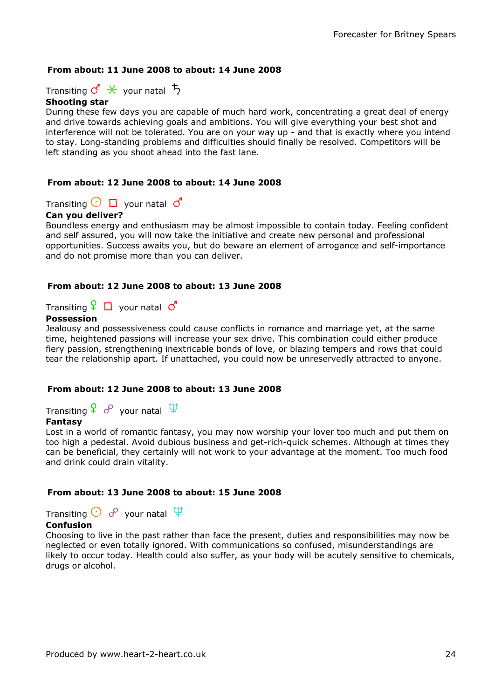### From about: 11 June 2008 to about: 14 June 2008

Transiting  $\vec{c} \times \vec{v}$  your natal  $\vec{b}$ 

#### Shooting star

During these few days you are capable of much hard work, concentrating a great deal of energy and drive towards achieving goals and ambitions. You will give everything your best shot and interference will not be tolerated. You are on your way up - and that is exactly where you intend to stay. Long-standing problems and difficulties should finally be resolved. Competitors will be left standing as you shoot ahead into the fast lane.

### From about: 12 June 2008 to about: 14 June 2008

Transiting  $\bigcirc$   $\Box$  your natal  $\circ$ 

### Can you deliver?

Boundless energy and enthusiasm may be almost impossible to contain today. Feeling confident and self assured, you will now take the initiative and create new personal and professional opportunities. Success awaits you, but do beware an element of arrogance and self-importance and do not promise more than you can deliver.

### From about: 12 June 2008 to about: 13 June 2008

Transiting  $\begin{bmatrix} 0 & \cdots & \cdots \end{bmatrix}$  your natal  $\mathcal{O}^{\prime}$ 

### Possession

Jealousy and possessiveness could cause conflicts in romance and marriage yet, at the same time, heightened passions will increase your sex drive. This combination could either produce fiery passion, strengthening inextricable bonds of love, or blazing tempers and rows that could tear the relationship apart. If unattached, you could now be unreservedly attracted to anyone.

#### From about: 12 June 2008 to about: 13 June 2008

Transiting  $\frac{Q}{I}$  o<sup>o</sup> your natal  $\frac{11}{I}$ 

### Fantasy

Lost in a world of romantic fantasy, you may now worship your lover too much and put them on too high a pedestal. Avoid dubious business and get-rich-quick schemes. Although at times they can be beneficial, they certainly will not work to your advantage at the moment. Too much food and drink could drain vitality.

#### From about: 13 June 2008 to about: 15 June 2008

Transiting  $\bigodot$   $\sigma^2$  your natal  $\overleftrightarrow{\Psi}$ 

### Confusion

Choosing to live in the past rather than face the present, duties and responsibilities may now be neglected or even totally ignored. With communications so confused, misunderstandings are likely to occur today. Health could also suffer, as your body will be acutely sensitive to chemicals, drugs or alcohol.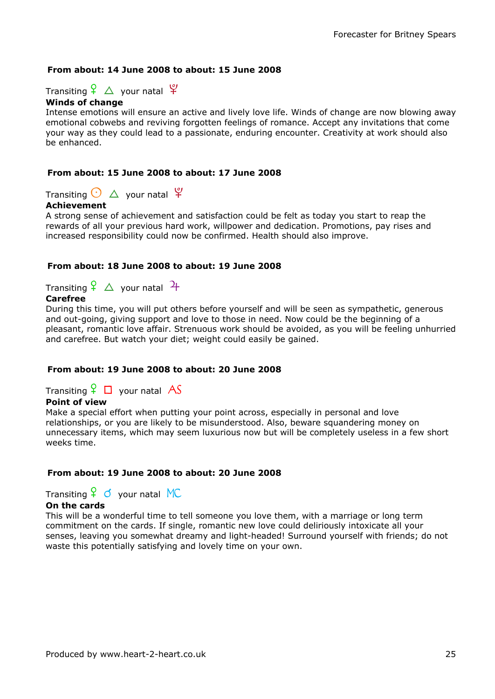### From about: 14 June 2008 to about: 15 June 2008

Transiting  $\frac{6}{5}$   $\Delta$  your natal  $\frac{6}{5}$ 

### Winds of change

Intense emotions will ensure an active and lively love life. Winds of change are now blowing away emotional cobwebs and reviving forgotten feelings of romance. Accept any invitations that come your way as they could lead to a passionate, enduring encounter. Creativity at work should also be enhanced.

### From about: 15 June 2008 to about: 17 June 2008

Transiting  $\bigodot$   $\Delta$  your natal  $\mathfrak{P}$ 

### Achievement

A strong sense of achievement and satisfaction could be felt as today you start to reap the rewards of all your previous hard work, willpower and dedication. Promotions, pay rises and increased responsibility could now be confirmed. Health should also improve.

### From about: 18 June 2008 to about: 19 June 2008

Transiting  $\frac{6}{5}$   $\triangle$  your natal  $\frac{4}{5}$ 

### Carefree

During this time, you will put others before yourself and will be seen as sympathetic, generous and out-going, giving support and love to those in need. Now could be the beginning of a pleasant, romantic love affair. Strenuous work should be avoided, as you will be feeling unhurried and carefree. But watch your diet; weight could easily be gained.

### From about: 19 June 2008 to about: 20 June 2008

Transiting  $\frac{6}{5}$   $\Box$  your natal AS

### Point of view

Make a special effort when putting your point across, especially in personal and love relationships, or you are likely to be misunderstood. Also, beware squandering money on unnecessary items, which may seem luxurious now but will be completely useless in a few short weeks time.

#### From about: 19 June 2008 to about: 20 June 2008

Transiting  $\frac{Q}{I}$  o your natal MC

#### On the cards

This will be a wonderful time to tell someone you love them, with a marriage or long term commitment on the cards. If single, romantic new love could deliriously intoxicate all your senses, leaving you somewhat dreamy and light-headed! Surround yourself with friends; do not waste this potentially satisfying and lovely time on your own.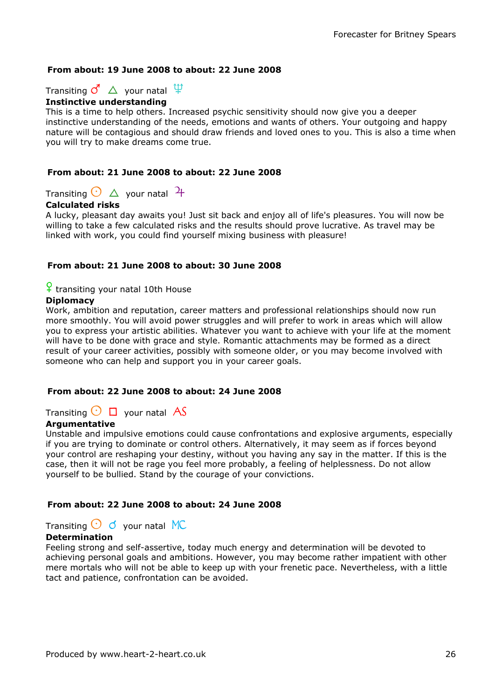### From about: 19 June 2008 to about: 22 June 2008

Transiting  $\vec{c}$   $\Delta$  your natal  $\hat{P}$ 



This is a time to help others. Increased psychic sensitivity should now give you a deeper instinctive understanding of the needs, emotions and wants of others. Your outgoing and happy nature will be contagious and should draw friends and loved ones to you. This is also a time when you will try to make dreams come true.

### From about: 21 June 2008 to about: 22 June 2008

Transiting  $\odot$   $\Delta$  your natal  $\frac{1}{1}$ 

### Calculated risks

A lucky, pleasant day awaits you! Just sit back and enjoy all of life's pleasures. You will now be willing to take a few calculated risks and the results should prove lucrative. As travel may be linked with work, you could find yourself mixing business with pleasure!

### From about: 21 June 2008 to about: 30 June 2008

 $\frac{6}{5}$  transiting your natal 10th House

### **Diplomacy**

Work, ambition and reputation, career matters and professional relationships should now run more smoothly. You will avoid power struggles and will prefer to work in areas which will allow you to express your artistic abilities. Whatever you want to achieve with your life at the moment will have to be done with grace and style. Romantic attachments may be formed as a direct result of your career activities, possibly with someone older, or you may become involved with someone who can help and support you in your career goals.

### From about: 22 June 2008 to about: 24 June 2008

Transiting  $\bigcirc$   $\Box$  your natal AS

### Argumentative

Unstable and impulsive emotions could cause confrontations and explosive arguments, especially if you are trying to dominate or control others. Alternatively, it may seem as if forces beyond your control are reshaping your destiny, without you having any say in the matter. If this is the case, then it will not be rage you feel more probably, a feeling of helplessness. Do not allow yourself to be bullied. Stand by the courage of your convictions.

### From about: 22 June 2008 to about: 24 June 2008

### Transiting  $\odot$  d your natal MC

### **Determination**

Feeling strong and self-assertive, today much energy and determination will be devoted to achieving personal goals and ambitions. However, you may become rather impatient with other mere mortals who will not be able to keep up with your frenetic pace. Nevertheless, with a little tact and patience, confrontation can be avoided.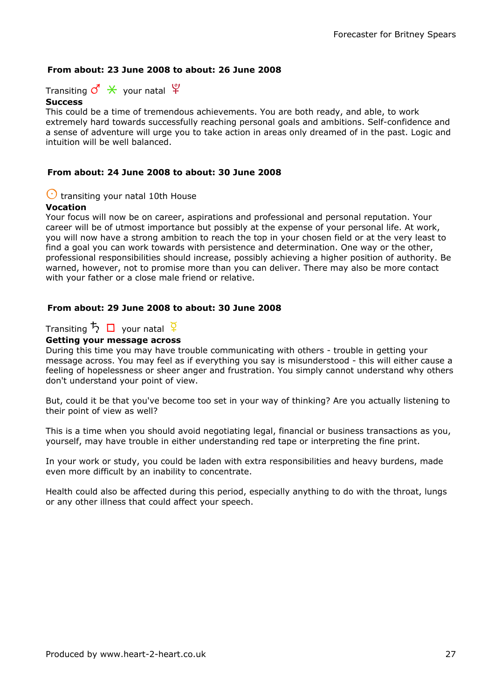### From about: 23 June 2008 to about: 26 June 2008

Transiting  $\mathcal{O} \times$  your natal  $\mathfrak{P}$ 

#### **Success**

This could be a time of tremendous achievements. You are both ready, and able, to work extremely hard towards successfully reaching personal goals and ambitions. Self-confidence and a sense of adventure will urge you to take action in areas only dreamed of in the past. Logic and intuition will be well balanced.

### From about: 24 June 2008 to about: 30 June 2008

### $\bigcirc$  transiting your natal 10th House

### Vocation

Your focus will now be on career, aspirations and professional and personal reputation. Your career will be of utmost importance but possibly at the expense of your personal life. At work, you will now have a strong ambition to reach the top in your chosen field or at the very least to find a goal you can work towards with persistence and determination. One way or the other, professional responsibilities should increase, possibly achieving a higher position of authority. Be warned, however, not to promise more than you can deliver. There may also be more contact with your father or a close male friend or relative.

### From about: 29 June 2008 to about: 30 June 2008

### Transiting  $\overline{D}$   $\Box$  your natal  $\overline{q}$

### Getting your message across

During this time you may have trouble communicating with others - trouble in getting your message across. You may feel as if everything you say is misunderstood - this will either cause a feeling of hopelessness or sheer anger and frustration. You simply cannot understand why others don't understand your point of view.

But, could it be that you've become too set in your way of thinking? Are you actually listening to their point of view as well?

This is a time when you should avoid negotiating legal, financial or business transactions as you, yourself, may have trouble in either understanding red tape or interpreting the fine print.

In your work or study, you could be laden with extra responsibilities and heavy burdens, made even more difficult by an inability to concentrate.

Health could also be affected during this period, especially anything to do with the throat, lungs or any other illness that could affect your speech.